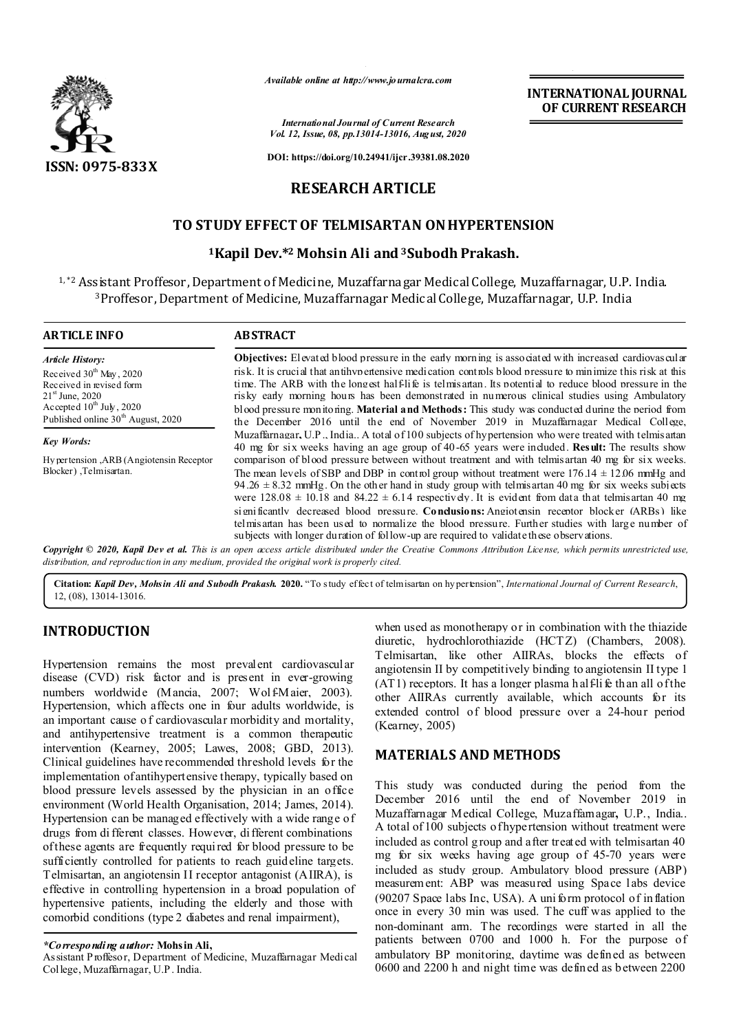

*Available online at http://www.journalcra.com*

*International Journal of Current Research Vol. 12, Issue, 08, pp.13014-13016, August, 2020*

**DOI: https://doi.org/10.24941/ijcr.39381.08.2020**

# **RESEARCH ARTICLE**

# **TO STUDY EFFECT OF TELMISARTAN ON HYPERTENSION**

## **1Kapil Dev.\*2 Mohsin Ali and 3Subodh Prakash.**

1, \*2 Assistant Proffesor, Department of Medicine, Muzaffarnagar Medical College, Muzaffarnagar, U.P. India. 3Proffesor, Department of Medicine, Muzaffarnagar Medical College, Muzaffarnagar, U.P. India

| <b>ARTICLE INFO</b>                                                                                                                                                  | <b>ABSTRACT</b><br><b>Objectives:</b> Elevated blood pressure in the early morning is associated with increased cardiovas cular                                                                                                                                                                                                                                                                                                                                                                                                 |  |
|----------------------------------------------------------------------------------------------------------------------------------------------------------------------|---------------------------------------------------------------------------------------------------------------------------------------------------------------------------------------------------------------------------------------------------------------------------------------------------------------------------------------------------------------------------------------------------------------------------------------------------------------------------------------------------------------------------------|--|
| <b>Article History:</b>                                                                                                                                              |                                                                                                                                                                                                                                                                                                                                                                                                                                                                                                                                 |  |
| Received $30th$ May, 2020<br>Received in revised form<br>$21^{\rm st}$ June, 2020<br>Accepted $10^{th}$ July, 2020<br>Published online 30 <sup>th</sup> August, 2020 | risk. It is crucial that antihypertensive medication controls blood pressure to minimize this risk at this<br>time. The ARB with the longest half-life is telmis artan. Its potential to reduce blood pressure in the<br>risky early morning hours has been demonstrated in numerous clinical studies using Ambulatory<br>blood pressure monitoring. Material and Methods: This study was conducted during the period from<br>the December 2016 until the end of November 2019 in Muzaffarnagar Medical College,                |  |
| <b>Key Words:</b>                                                                                                                                                    | Muzaffarnagar, U.P., India A total of 100 subjects of hypertension who were treated with telmis artan<br>40 mg for six weeks having an age group of 40-65 years were included. Result: The results show                                                                                                                                                                                                                                                                                                                         |  |
| Hy per tension, ARB (Angiotensin Receptor<br>Blocker), Telmisartan.                                                                                                  | comparison of blood pressure between without treatment and with telmis artan 40 mg for six weeks.<br>The mean levels of SBP and DBP in control group without treatment were $176.14 \pm 12.06$ mmHg and<br>94.26 $\pm$ 8.32 mmHg. On the other hand in study group with telmis artan 40 mg for six weeks subjects<br>were $128.08 \pm 10.18$ and $84.22 \pm 6.14$ respectively. It is evident from data that telmis artan 40 mg<br>significantly decreased blood pressure. Condusions: Angiotensin receptor blocker (ARBs) like |  |
|                                                                                                                                                                      | telmis artan has been used to normalize the blood pressure. Further studies with large number of<br>subjects with longer duration of follow-up are required to validate these observations.<br><b>Copyright © 2020, Kapil Dev et al.</b> This is an open access article distributed under the Creative Commons Attribution License, which permits unrestricted use.                                                                                                                                                             |  |

Copyright © 2020, Kapil Dev et al. This is an open access article distributed under the Creative Commons Attribution License, which permits unrestricted use, *distribution, and reproduction in any medium, provided the original work is properly cited.*

**Citation:** *Kapil Dev, Mohsin Ali and Subodh Prakash.* **2020.** "To study effect of telmisartan on hypertension", *International Journal of Current Research*, 12, (08), 13014-13016.

# **INTRODUCTION**

Hypertension remains the most prevalent cardiovascular disease (CVD) risk factor and is present in ever-growing numbers worldwide (Mancia, 2007; Wolf-Maier, 2003). Hypertension, which affects one in four adults worldwide, is an important cause o f cardiovascular morbidity and mortality, and antihypertensive treatment is a common therapeutic intervention (Kearney, 2005; Lawes, 2008; GBD, 2013). Clinical guidelines have recommended threshold levels for the implementation of antihypertensive therapy, typically based on blood pressure levels assessed by the physician in an office environment (World Health Organisation, 2014; James, 2014). Hypertension can be managed effectively with a wide range of drugs from di fferent classes. However, different combinations of these agents are frequently required for blood pressure to be sufficiently controlled for patients to reach guideline targets. Telmisartan, an angiotensin II receptor antagonist (AIIRA), is effective in controlling hypertension in a broad population of hypertensive patients, including the elderly and those with comorbid conditions (type 2 diabetes and renal impairment),

### *\*Corresponding author:* **Mohsin Ali,**

Assistant P roffesor, Department of Medicine, Muzaffarnagar Medical College, Muzaffarnagar, U.P . India.

when used as monotherapy or in combination with the thiazide diuretic, hydrochlorothiazide (HCTZ) (Chambers, 2008). Telmisartan, like other AIIRAs, blocks the effects of angiotensin II by competitively binding to angiotensin II type 1  $(AT1)$  receptors. It has a longer plasma h alf-life than all of the other AIIRAs currently available, which accounts for its extended control of blood pressure over a 24-hour period (Kearney, 2005)

**INTERNATIONAL JOURNAL OF CURRENT RESEARCH**

# **MATERIALS AND METHODS**

This study was conducted during the period from the December 2016 until the end of November 2019 in Muzaffarnagar Medical College, Muzaffarnagar**,** U.P., India.. A total of 100 subjects of hypertension without treatment were included as control g roup and after treated with telmisartan 40 mg for six weeks having age group of 45-70 years were included as study group. Ambulatory blood pressure (ABP) measurement: ABP was measured using Space labs device (90207 Space labs Inc, USA). A uni form protocol of in flation once in every 30 min was used. The cuff was applied to the non-dominant arm. The recordings were started in all the patients between 0700 and 1000 h. For the purpose of ambulatory BP monitoring, daytime was defined as between 0600 and 2200 h and night time was defined as between 2200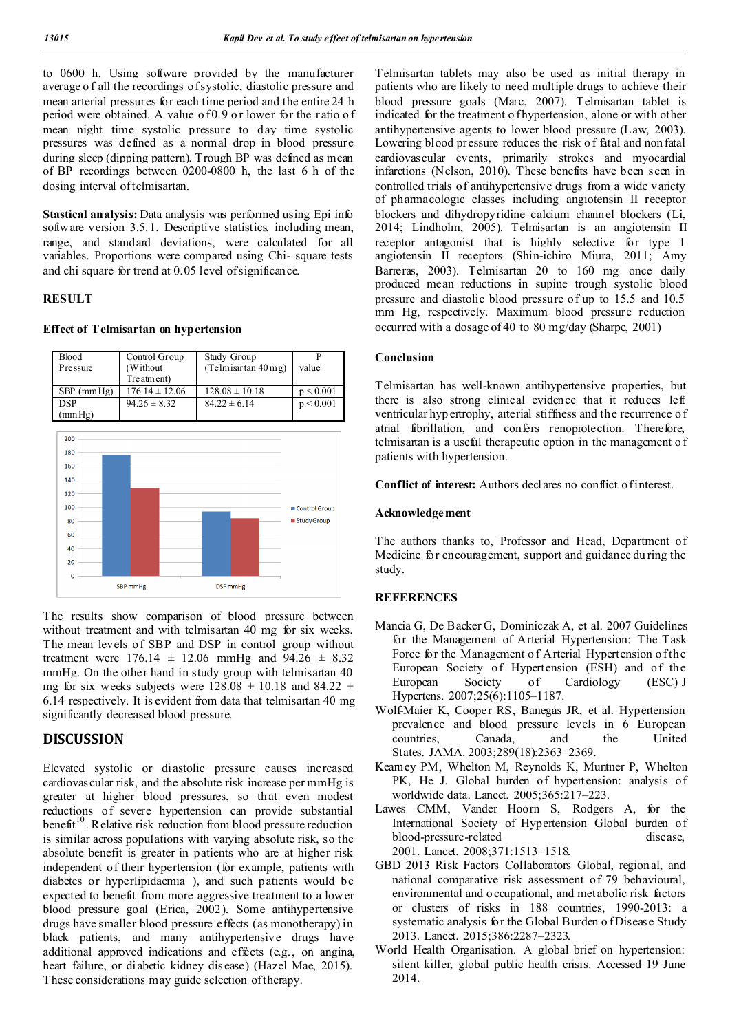to 0600 h. Using software provided by the manufacturer average o f all the recordings of systolic, diastolic pressure and mean arterial pressures for each time period and the entire 24 h period were obtained. A value of 0.9 or lower for the ratio of mean night time systolic pressure to day time systolic pressures was defined as a normal drop in blood pressure during sleep (dipping pattern). Trough BP was defined as mean of BP recordings between 0200-0800 h, the last 6 h of the dosing interval of telmisartan.

**Stastical analysis:** Data analysis was performed using Epi info software version 3.5.1. Descriptive statistics, including mean, range, and standard deviations, were calculated for all variables. Proportions were compared using Chi- square tests and chi square for trend at 0.05 level of significance.

#### **RESULT**

#### **Effect of Telmisartan on hypertension**

| <b>Blood</b><br>Pre ssure | Control Group<br>(Without) | Study Group<br>(Telmiar tan 40 mg) | value     |
|---------------------------|----------------------------|------------------------------------|-----------|
|                           | Tre atment)                |                                    |           |
| $SBP$ (mm $Hg$ )          | $176.14 \pm 12.06$         | $128.08 \pm 10.18$                 | p < 0.001 |
| <b>DSP</b>                | $94.26 \pm 8.32$           | $84.22 \pm 6.14$                   | p < 0.001 |
| (mmHg)                    |                            |                                    |           |
|                           |                            |                                    |           |



The results show comparison of blood pressure between without treatment and with telmisartan 40 mg for six weeks. The mean levels of SBP and DSP in control group without treatment were  $176.14 \pm 12.06$  mmHg and  $94.26 \pm 8.32$ mmHg. On the other hand in study group with telmisartan 40 mg for six weeks subjects were  $128.08 \pm 10.18$  and  $84.22 \pm 10.18$ 6.14 respectively. It is evident from data that telmisartan 40 mg significantly decreased blood pressure.

## **DISCUSSION**

Elevated systolic or diastolic pressure causes increased cardiovascular risk, and the absolute risk increase per mmHg is greater at higher blood pressures, so that even modest reductions of severe hypertension can provide substantial benefit<sup>10</sup>. Relative risk reduction from blood pressure reduction is similar across populations with varying absolute risk, so the absolute benefit is greater in patients who are at higher risk independent of their hypertension (for example, patients with diabetes or hyperlipidaemia ), and such patients would be expected to benefit from more aggressive treatment to a lower blood pressure goal (Erica, 2002). Some antihypertensive drugs have smaller blood pressure effects (as monotherapy) in black patients, and many antihypertensive drugs have additional approved indications and effects (e.g., on angina, heart failure, or diabetic kidney dis ease) (Hazel Mae, 2015). These considerations may guide selection of therapy.

Telmisartan tablets may also be used as initial therapy in patients who are likely to need multiple drugs to achieve their blood pressure goals (Marc, 2007). Telmisartan tablet is indicated for the treatment o fhypertension, alone or with other antihypertensive agents to lower blood pressure (Law, 2003). Lowering blood pressure reduces the risk o f fatal and non fatal cardiovascular events, primarily strokes and myocardial infarctions (Nelson, 2010). These benefits have been seen in controlled trials of antihypertensive drugs from a wide variety of pharmacologic classes including angiotensin II receptor blockers and dihydropyridine calcium channel blockers (Li, 2014; Lindholm, 2005). Telmisartan is an angiotensin II receptor antagonist that is highly selective for type 1 angiotensin II receptors (Shin-ichiro Miura, 2011; Amy Barreras, 2003). Telmisartan 20 to 160 mg once daily produced mean reductions in supine trough systolic blood pressure and diastolic blood pressure of up to 15.5 and 10.5 mm Hg, respectively. Maximum blood pressure reduction occurred with a dosage of 40 to 80 mg/day (Sharpe, 2001)

### **Conclusion**

Telmisartan has well-known antihypertensive properties, but there is also strong clinical evidence that it reduces left ventricular hyp ertrophy, arterial stiffness and the recurrence o f atrial fibrillation, and confers renoprotection. Therefore, telmisartan is a useful therapeutic option in the management o f patients with hypertension.

**Conflict of interest:** Authors declares no conflict of interest.

### **Acknowledgement**

The authors thanks to, Professor and Head, Department of Medicine for encouragement, support and guidance du ring the study.

### **REFERENCES**

- Mancia G, De Backer G, Dominiczak A, et al. 2007 Guidelines for the Management of Arterial Hypertension: The Task Force for the Management of Arterial Hypertension of the European Society of Hypertension (ESH) and of the European Society of Cardiology (ESC) J Hypertens. 2007;25(6):1105–1187.
- Wolf-Maier K, Cooper RS, Banegas JR, et al. Hypertension prevalence and blood pressure levels in 6 European countries, Canada, and the United States. JAMA. 2003;289(18):2363–2369.
- Kearney PM, Whelton M, Reynolds K, Muntner P, Whelton PK, He J. Global burden of hypertension: analysis of worldwide data. Lancet. 2005;365:217–223.
- Lawes CMM, Vander Hoorn S, Rodgers A, for the International Society of Hypertension Global burden of blood-pressure-related disease, 2001. Lancet. 2008;371:1513–1518.
- GBD 2013 Risk Factors Collaborators Global, regional, and national comparative risk assessment of 79 behavioural, environmental and o ccupational, and metabolic risk factors or clusters of risks in 188 countries, 1990-2013: a systematic analysis for the Global Burden o f Disease Study 2013. Lancet. 2015;386:2287–2323.
- World Health Organisation. A global brief on hypertension: silent killer, global public health crisis. Accessed 19 June 2014.